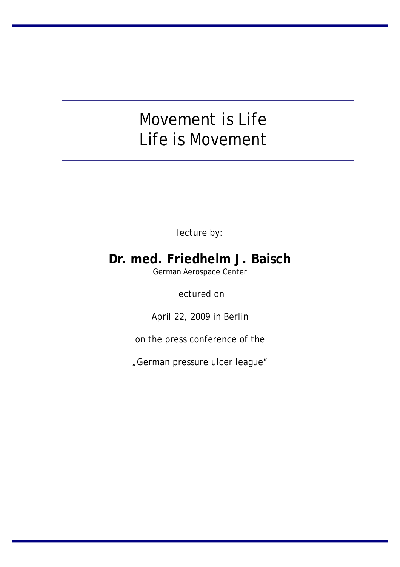# Movement is Life Life is Movement

lecture by:

## **Dr. med. Friedhelm J. Baisch**

German Aerospace Center

lectured on

April 22, 2009 in Berlin

on the press conference of the

"German pressure ulcer league"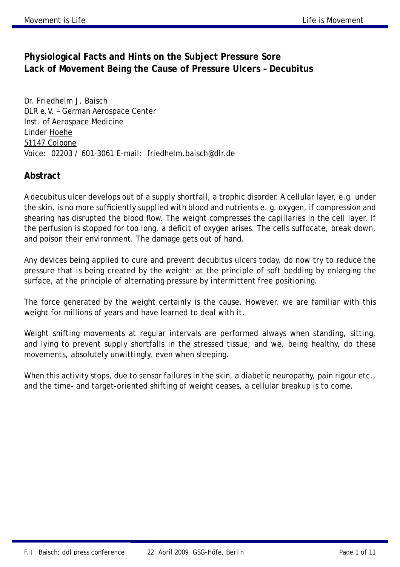### **Physiological Facts and Hints on the Subject Pressure Sore Lack of Movement Being the Cause of Pressure Ulcers – Decubitus**

Dr. Friedhelm J. Baisch DLR e.V. – German Aerospace Center Inst. of Aerospace Medicine Linder Hoehe 51147 Cologne Voice: 02203 / 601-3061 E-mail: [friedhelm.baisch@dlr.de](mailto:friedhelm.baisch@dlr.de)

### **Abstract**

A decubitus ulcer develops out of a supply shortfall, a trophic disorder. A cellular layer, e.g. under the skin, is no more sufficiently supplied with blood and nutrients e. g. oxygen, if compression and shearing has disrupted the blood flow. The weight compresses the capillaries in the cell layer. If the perfusion is stopped for too long, a deficit of oxygen arises. The cells suffocate, break down, and poison their environment. The damage gets out of hand.

Any devices being applied to cure and prevent decubitus ulcers today, do now try to reduce the pressure that is being created by the weight: at the principle of soft bedding by enlarging the surface, at the principle of alternating pressure by intermittent free positioning.

The force generated by the weight certainly is the cause. However, we are familiar with this weight for millions of years and have learned to deal with it.

Weight shifting movements at regular intervals are performed always when standing, sitting, and lying to prevent supply shortfalls in the stressed tissue; and we, being healthy, do these movements, absolutely unwittingly, even when sleeping.

When this activity stops, due to sensor failures in the skin, a diabetic neuropathy, pain rigour etc., and the time- and target-oriented shifting of weight ceases, a cellular breakup is to come.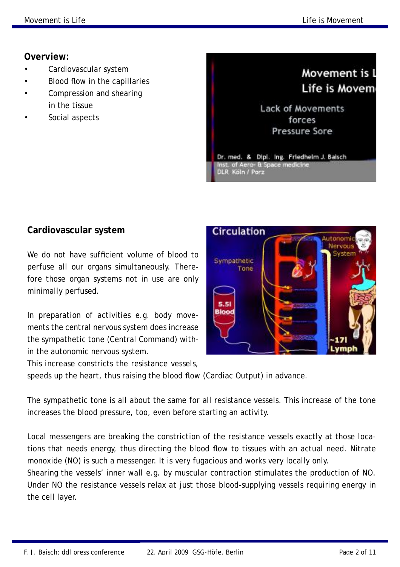### **Overview:**

- Cardiovascular system
- Blood flow in the capillaries
- Compression and shearing in the tissue
- Social aspects



### **Cardiovascular system**

We do not have sufficient volume of blood to perfuse all our organs simultaneously. Therefore those organ systems not in use are only minimally perfused.

In preparation of activities e.g. body movements the central nervous system does increase the sympathetic tone (Central Command) within the autonomic nervous system.

This increase constricts the resistance vessels,

speeds up the heart, thus raising the blood flow (Cardiac Output) in advance.

The sympathetic tone is all about the same for all resistance vessels. This increase of the tone increases the blood pressure, too, even before starting an activity.

Local messengers are breaking the constriction of the resistance vessels exactly at those locations that needs energy, thus directing the blood flow to tissues with an actual need. Nitrate monoxide (NO) is such a messenger. It is very fugacious and works very locally only.

Shearing the vessels' inner wall e.g. by muscular contraction stimulates the production of NO. Under NO the resistance vessels relax at just those blood-supplying vessels requiring energy in the cell layer.

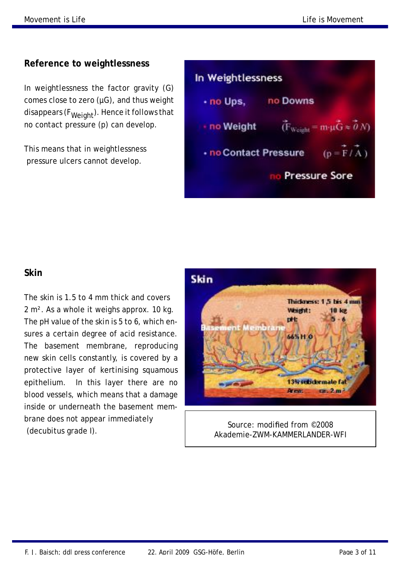### **Reference to weightlessness**

In weightlessness the factor gravity (G) comes close to zero  $(\mu G)$ , and thus weight disappears ( $F_{Weight}$ ). Hence it follows that no contact pressure (p) can develop.

This means that in weightlessness pressure ulcers cannot develop.

| In Weightlessness     |          |                                                                      |
|-----------------------|----------|----------------------------------------------------------------------|
| · no Ups.             | no Downs |                                                                      |
| · no Weight           |          | $(F_{\text{Weight}} = m \cdot \mu \overline{G} \approx 0 \text{ N})$ |
| - no Contact Pressure |          | $(p = \overline{F}/\overline{A})$                                    |
| <b>Pressure Sore</b>  |          |                                                                      |

### **Skin**

The skin is 1.5 to 4 mm thick and covers 2 m². As a whole it weighs approx. 10 kg. The pH value of the skin is 5 to 6, which ensures a certain degree of acid resistance. The basement membrane, reproducing new skin cells constantly, is covered by a protective layer of kertinising squamous epithelium. In this layer there are no blood vessels, which means that a damage inside or underneath the basement membrane does not appear immediately (decubitus grade I).



Source: modified from ©2008 Akademie-ZWM-KAMMERLANDER-WFI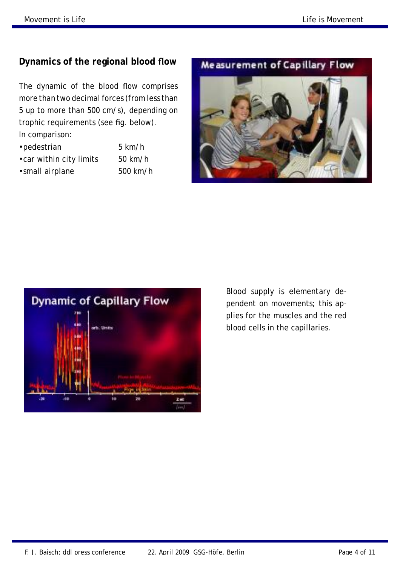### **Dynamics of the regional blood flow**

The dynamic of the blood flow comprises more than two decimal forces (from less than 5 up to more than 500 cm/s), depending on trophic requirements (see fig. below). In comparison:

- •pedestrian 5 km/h •car within city limits 50 km/h •small airplane 500 km/h
	-

### **Measurement of Capillary Flow**





Blood supply is elementary dependent on movements; this applies for the muscles and the red blood cells in the capillaries.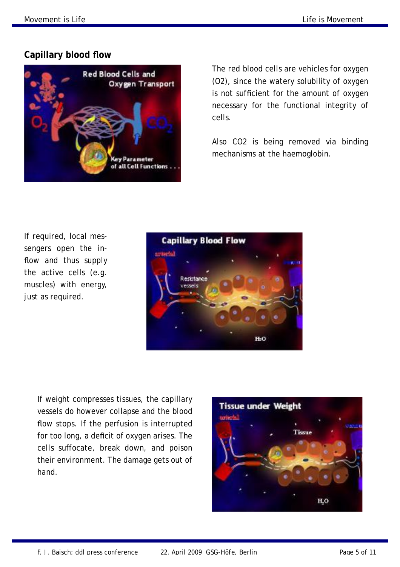### **Capillary blood flow**



The red blood cells are vehicles for oxygen (O2), since the watery solubility of oxygen is not sufficient for the amount of oxygen necessary for the functional integrity of cells.

Also CO2 is being removed via binding mechanisms at the haemoglobin.

If required, local messengers open the inflow and thus supply the active cells (e.g. muscles) with energy, just as required.



If weight compresses tissues, the capillary vessels do however collapse and the blood flow stops. If the perfusion is interrupted for too long, a deficit of oxygen arises. The cells suffocate, break down, and poison their environment. The damage gets out of hand.

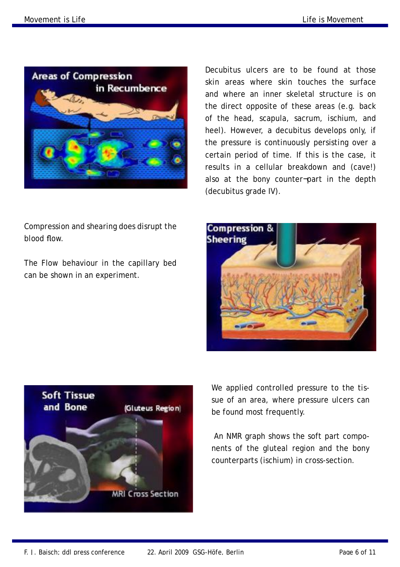blood flow.



Compression and shearing does disrupt the

The Flow behaviour in the capillary bed

can be shown in an experiment.

Decubitus ulcers are to be found at those skin areas where skin touches the surface and where an inner skeletal structure is on the direct opposite of these areas (e.g. back of the head, scapula, sacrum, ischium, and heel). However, a decubitus develops only, if the pressure is continuously persisting over a certain period of time. If this is the case, it results in a cellular breakdown and (cave!) also at the bony counter¬part in the depth (decubitus grade IV).

**Compression & Sheering** 



We applied controlled pressure to the tissue of an area, where pressure ulcers can be found most frequently.

An NMR graph shows the soft part components of the gluteal region and the bony counterparts (ischium) in cross-section.

F. J. Baisch; ddl press conference 22. April 2009 GSG-Höfe, Berlin Page 6 of 11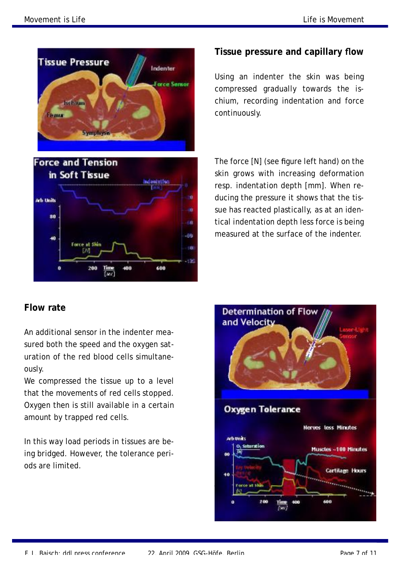

### **Tissue pressure and capillary flow**

Using an indenter the skin was being compressed gradually towards the ischium, recording indentation and force continuously.

The force [N] (see figure left hand) on the skin grows with increasing deformation resp. indentation depth [mm]. When reducing the pressure it shows that the tissue has reacted plastically, as at an identical indentation depth less force is being measured at the surface of the indenter.

### **Flow rate**

An additional sensor in the indenter measured both the speed and the oxygen saturation of the red blood cells simultaneously.

We compressed the tissue up to a level that the movements of red cells stopped. Oxygen then is still available in a certain amount by trapped red cells.

In this way load periods in tissues are being bridged. However, the tolerance periods are limited.

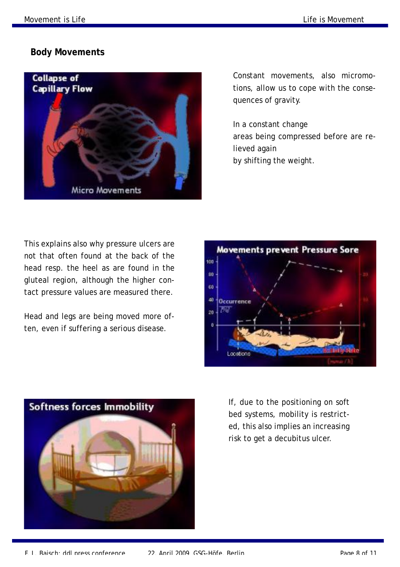#### **Body Movements**



Constant movements, also micromotions, allow us to cope with the consequences of gravity.

In a constant change areas being compressed before are relieved again by shifting the weight.

This explains also why pressure ulcers are not that often found at the back of the head resp. the heel as are found in the gluteal region, although the higher contact pressure values are measured there.

Head and legs are being moved more often, even if suffering a serious disease.





If, due to the positioning on soft bed systems, mobility is restricted, this also implies an increasing risk to get a decubitus ulcer.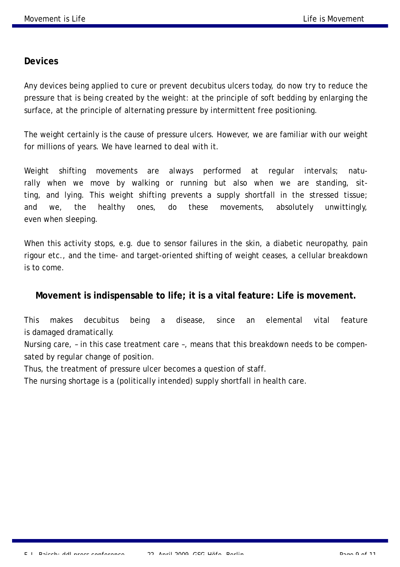#### **Devices**

Any devices being applied to cure or prevent decubitus ulcers today, do now try to reduce the pressure that is being created by the weight: at the principle of soft bedding by enlarging the surface, at the principle of alternating pressure by intermittent free positioning.

The weight certainly is the cause of pressure ulcers. However, we are familiar with our weight for millions of years. We have learned to deal with it.

Weight shifting movements are always performed at regular intervals; naturally when we move by walking or running but also when we are standing, sitting, and lying. This weight shifting prevents a supply shortfall in the stressed tissue; and we, the healthy ones, do these movements, absolutely unwittingly, even when sleeping.

When this activity stops, e.g. due to sensor failures in the skin, a diabetic neuropathy, pain rigour etc., and the time- and target-oriented shifting of weight ceases, a cellular breakdown is to come.

#### **Movement is indispensable to life; it is a vital feature: Life is movement.**

This makes decubitus being a disease, since an elemental vital feature is damaged dramatically.

Nursing care, – in this case treatment care –, means that this breakdown needs to be compensated by regular change of position.

Thus, the treatment of pressure ulcer becomes a question of staff.

The nursing shortage is a (politically intended) supply shortfall in health care.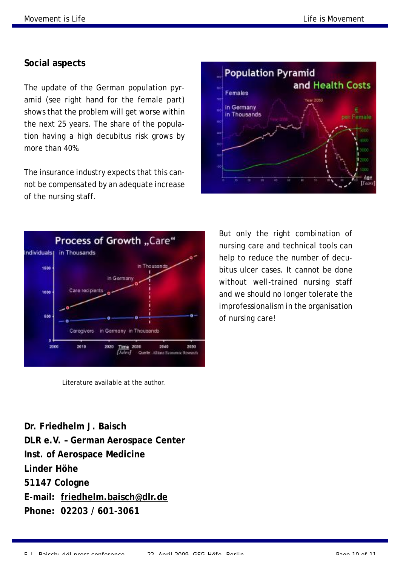### **Social aspects**

The update of the German population pyramid (see right hand for the female part) shows that the problem will get worse within the next 25 years. The share of the population having a high decubitus risk grows by more than 40%.

The insurance industry expects that this cannot be compensated by an adequate increase of the nursing staff.





But only the right combination of nursing care and technical tools can help to reduce the number of decubitus ulcer cases. It cannot be done without well-trained nursing staff and we should no longer tolerate the improfessionalism in the organisation of nursing care!

Literature available at the author.

**Dr. Friedhelm J. Baisch DLR e.V. – German Aerospace Center Inst. of Aerospace Medicine Linder Höhe 51147 Cologne E-mail: [friedhelm.baisch@dlr.de](mailto:friedhelm.baisch@dlr.de)  Phone: 02203 / 601-3061**